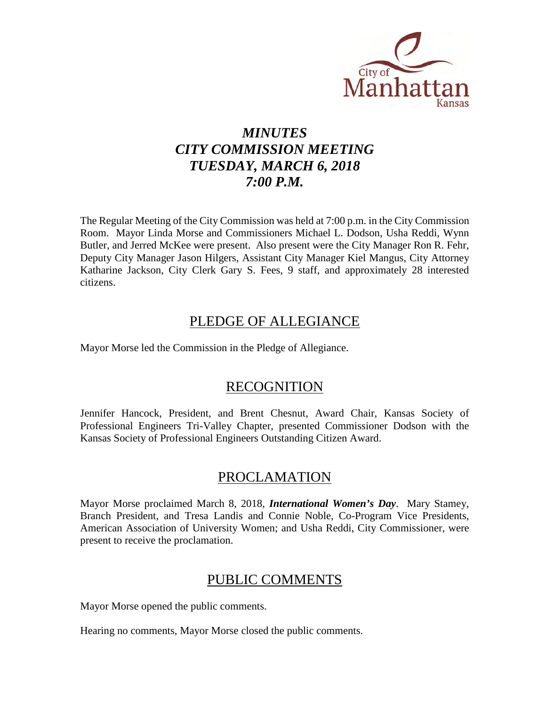

# *MINUTES CITY COMMISSION MEETING TUESDAY, MARCH 6, 2018 7:00 P.M.*

The Regular Meeting of the City Commission was held at 7:00 p.m. in the City Commission Room. Mayor Linda Morse and Commissioners Michael L. Dodson, Usha Reddi, Wynn Butler, and Jerred McKee were present. Also present were the City Manager Ron R. Fehr, Deputy City Manager Jason Hilgers, Assistant City Manager Kiel Mangus, City Attorney Katharine Jackson, City Clerk Gary S. Fees, 9 staff, and approximately 28 interested citizens.

## PLEDGE OF ALLEGIANCE

Mayor Morse led the Commission in the Pledge of Allegiance.

## RECOGNITION

Jennifer Hancock, President, and Brent Chesnut, Award Chair, Kansas Society of Professional Engineers Tri-Valley Chapter, presented Commissioner Dodson with the Kansas Society of Professional Engineers Outstanding Citizen Award.

# PROCLAMATION

Mayor Morse proclaimed March 8, 2018, *International Women's Day*. Mary Stamey, Branch President, and Tresa Landis and Connie Noble, Co-Program Vice Presidents, American Association of University Women; and Usha Reddi, City Commissioner, were present to receive the proclamation.

# PUBLIC COMMENTS

Mayor Morse opened the public comments.

Hearing no comments, Mayor Morse closed the public comments.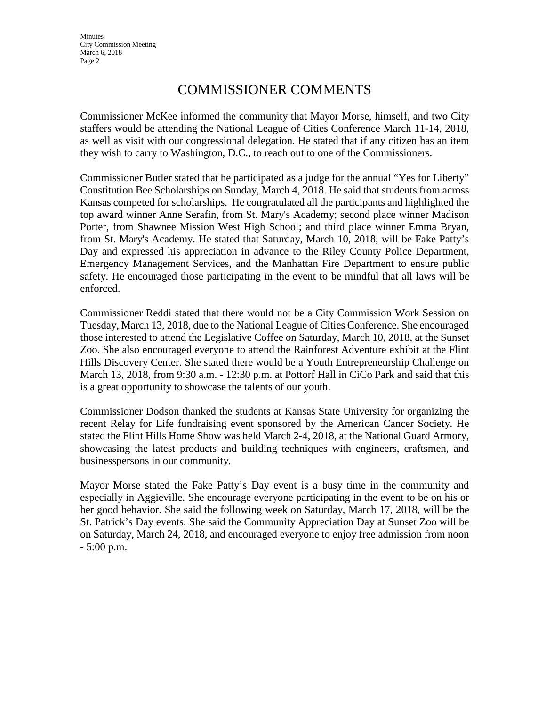# COMMISSIONER COMMENTS

Commissioner McKee informed the community that Mayor Morse, himself, and two City staffers would be attending the National League of Cities Conference March 11-14, 2018, as well as visit with our congressional delegation. He stated that if any citizen has an item they wish to carry to Washington, D.C., to reach out to one of the Commissioners.

Commissioner Butler stated that he participated as a judge for the annual "Yes for Liberty" Constitution Bee Scholarships on Sunday, March 4, 2018. He said that students from across Kansas competed for scholarships. He congratulated all the participants and highlighted the top award winner Anne Serafin, from St. Mary's Academy; second place winner Madison Porter, from Shawnee Mission West High School; and third place winner Emma Bryan, from St. Mary's Academy. He stated that Saturday, March 10, 2018, will be Fake Patty's Day and expressed his appreciation in advance to the Riley County Police Department, Emergency Management Services, and the Manhattan Fire Department to ensure public safety. He encouraged those participating in the event to be mindful that all laws will be enforced.

Commissioner Reddi stated that there would not be a City Commission Work Session on Tuesday, March 13, 2018, due to the National League of Cities Conference. She encouraged those interested to attend the Legislative Coffee on Saturday, March 10, 2018, at the Sunset Zoo. She also encouraged everyone to attend the Rainforest Adventure exhibit at the Flint Hills Discovery Center. She stated there would be a Youth Entrepreneurship Challenge on March 13, 2018, from 9:30 a.m. - 12:30 p.m. at Pottorf Hall in CiCo Park and said that this is a great opportunity to showcase the talents of our youth.

Commissioner Dodson thanked the students at Kansas State University for organizing the recent Relay for Life fundraising event sponsored by the American Cancer Society. He stated the Flint Hills Home Show was held March 2-4, 2018, at the National Guard Armory, showcasing the latest products and building techniques with engineers, craftsmen, and businesspersons in our community.

Mayor Morse stated the Fake Patty's Day event is a busy time in the community and especially in Aggieville. She encourage everyone participating in the event to be on his or her good behavior. She said the following week on Saturday, March 17, 2018, will be the St. Patrick's Day events. She said the Community Appreciation Day at Sunset Zoo will be on Saturday, March 24, 2018, and encouraged everyone to enjoy free admission from noon - 5:00 p.m.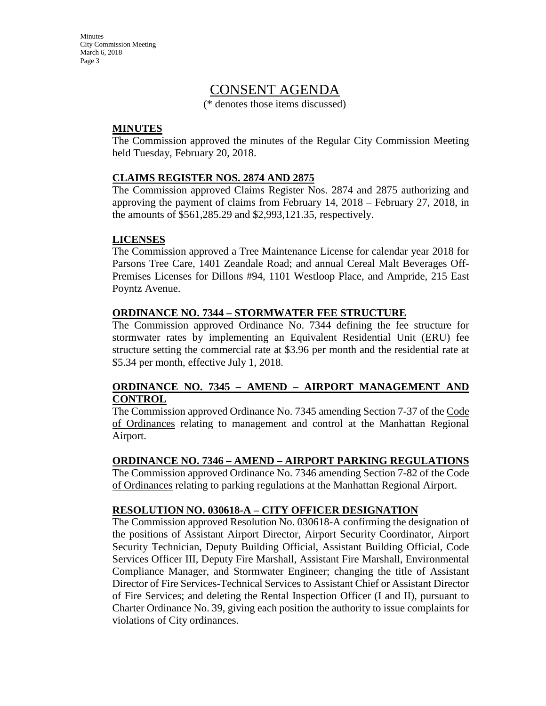## CONSENT AGENDA

(\* denotes those items discussed)

### **MINUTES**

The Commission approved the minutes of the Regular City Commission Meeting held Tuesday, February 20, 2018.

### **CLAIMS REGISTER NOS. 2874 AND 2875**

The Commission approved Claims Register Nos. 2874 and 2875 authorizing and approving the payment of claims from February 14, 2018 – February 27, 2018, in the amounts of \$561,285.29 and \$2,993,121.35, respectively.

## **LICENSES**

The Commission approved a Tree Maintenance License for calendar year 2018 for Parsons Tree Care, 1401 Zeandale Road; and annual Cereal Malt Beverages Off-Premises Licenses for Dillons #94, 1101 Westloop Place, and Ampride, 215 East Poyntz Avenue.

### **ORDINANCE NO. 7344 – STORMWATER FEE STRUCTURE**

The Commission approved Ordinance No. 7344 defining the fee structure for stormwater rates by implementing an Equivalent Residential Unit (ERU) fee structure setting the commercial rate at \$3.96 per month and the residential rate at \$5.34 per month, effective July 1, 2018.

### **ORDINANCE NO. 7345 – AMEND – AIRPORT MANAGEMENT AND CONTROL**

The Commission approved Ordinance No. 7345 amending Section 7-37 of the Code of Ordinances relating to management and control at the Manhattan Regional Airport.

#### **ORDINANCE NO. 7346 – AMEND – AIRPORT PARKING REGULATIONS**

The Commission approved Ordinance No. 7346 amending Section 7-82 of the Code of Ordinances relating to parking regulations at the Manhattan Regional Airport.

#### **RESOLUTION NO. 030618-A – CITY OFFICER DESIGNATION**

The Commission approved Resolution No. 030618-A confirming the designation of the positions of Assistant Airport Director, Airport Security Coordinator, Airport Security Technician, Deputy Building Official, Assistant Building Official, Code Services Officer III, Deputy Fire Marshall, Assistant Fire Marshall, Environmental Compliance Manager, and Stormwater Engineer; changing the title of Assistant Director of Fire Services-Technical Services to Assistant Chief or Assistant Director of Fire Services; and deleting the Rental Inspection Officer (I and II), pursuant to Charter Ordinance No. 39, giving each position the authority to issue complaints for violations of City ordinances.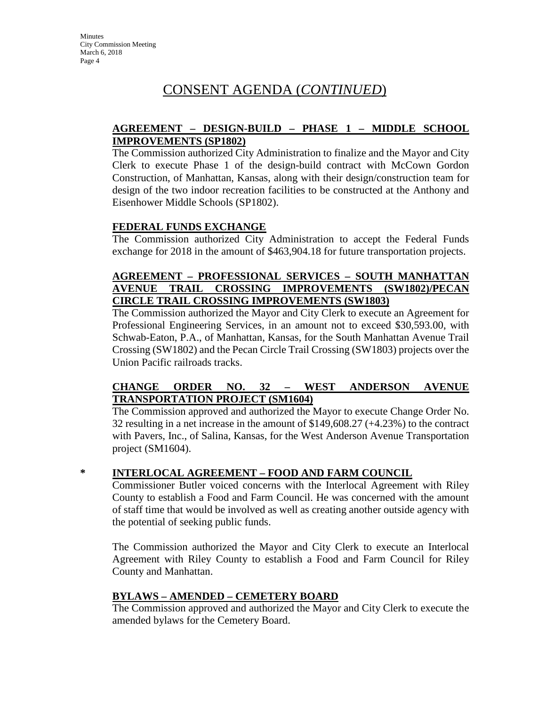# CONSENT AGENDA (*CONTINUED*)

## **AGREEMENT – DESIGN-BUILD – PHASE 1 – MIDDLE SCHOOL IMPROVEMENTS (SP1802)**

The Commission authorized City Administration to finalize and the Mayor and City Clerk to execute Phase 1 of the design-build contract with McCown Gordon Construction, of Manhattan, Kansas, along with their design/construction team for design of the two indoor recreation facilities to be constructed at the Anthony and Eisenhower Middle Schools (SP1802).

## **FEDERAL FUNDS EXCHANGE**

The Commission authorized City Administration to accept the Federal Funds exchange for 2018 in the amount of \$463,904.18 for future transportation projects.

#### **AGREEMENT – PROFESSIONAL SERVICES – SOUTH MANHATTAN AVENUE TRAIL CROSSING IMPROVEMENTS (SW1802)/PECAN CIRCLE TRAIL CROSSING IMPROVEMENTS (SW1803)**

The Commission authorized the Mayor and City Clerk to execute an Agreement for Professional Engineering Services, in an amount not to exceed \$30,593.00, with Schwab-Eaton, P.A., of Manhattan, Kansas, for the South Manhattan Avenue Trail Crossing (SW1802) and the Pecan Circle Trail Crossing (SW1803) projects over the Union Pacific railroads tracks.

## **CHANGE ORDER NO. 32 – WEST ANDERSON AVENUE TRANSPORTATION PROJECT (SM1604)**

The Commission approved and authorized the Mayor to execute Change Order No. 32 resulting in a net increase in the amount of \$149,608.27 (+4.23%) to the contract with Pavers, Inc., of Salina, Kansas, for the West Anderson Avenue Transportation project (SM1604).

## **\* INTERLOCAL AGREEMENT – FOOD AND FARM COUNCIL**

Commissioner Butler voiced concerns with the Interlocal Agreement with Riley County to establish a Food and Farm Council. He was concerned with the amount of staff time that would be involved as well as creating another outside agency with the potential of seeking public funds.

The Commission authorized the Mayor and City Clerk to execute an Interlocal Agreement with Riley County to establish a Food and Farm Council for Riley County and Manhattan.

## **BYLAWS – AMENDED – CEMETERY BOARD**

The Commission approved and authorized the Mayor and City Clerk to execute the amended bylaws for the Cemetery Board.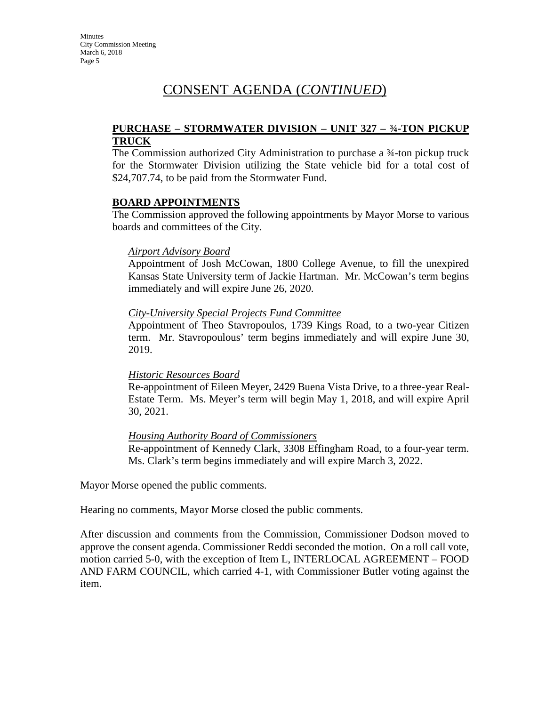# CONSENT AGENDA (*CONTINUED*)

#### **PURCHASE – STORMWATER DIVISION – UNIT 327 – ¾-TON PICKUP TRUCK**

The Commission authorized City Administration to purchase a ¾-ton pickup truck for the Stormwater Division utilizing the State vehicle bid for a total cost of \$24,707.74, to be paid from the Stormwater Fund.

### **BOARD APPOINTMENTS**

The Commission approved the following appointments by Mayor Morse to various boards and committees of the City.

### *Airport Advisory Board*

Appointment of Josh McCowan, 1800 College Avenue, to fill the unexpired Kansas State University term of Jackie Hartman. Mr. McCowan's term begins immediately and will expire June 26, 2020.

### *City-University Special Projects Fund Committee*

Appointment of Theo Stavropoulos, 1739 Kings Road, to a two-year Citizen term. Mr. Stavropoulous' term begins immediately and will expire June 30, 2019.

## *Historic Resources Board*

Re-appointment of Eileen Meyer, 2429 Buena Vista Drive, to a three-year Real-Estate Term. Ms. Meyer's term will begin May 1, 2018, and will expire April 30, 2021.

## *Housing Authority Board of Commissioners*

Re-appointment of Kennedy Clark, 3308 Effingham Road, to a four-year term. Ms. Clark's term begins immediately and will expire March 3, 2022.

Mayor Morse opened the public comments.

Hearing no comments, Mayor Morse closed the public comments.

After discussion and comments from the Commission, Commissioner Dodson moved to approve the consent agenda. Commissioner Reddi seconded the motion. On a roll call vote, motion carried 5-0, with the exception of Item L, INTERLOCAL AGREEMENT – FOOD AND FARM COUNCIL, which carried 4-1, with Commissioner Butler voting against the item.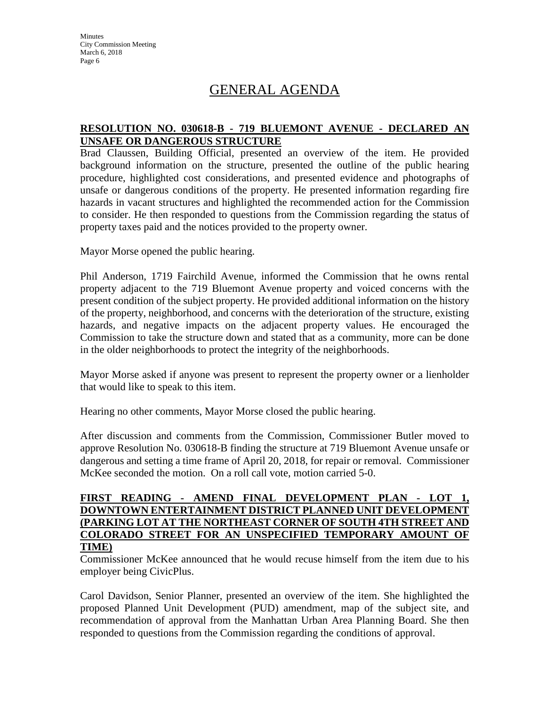# GENERAL AGENDA

### **RESOLUTION NO. 030618-B - 719 BLUEMONT AVENUE - DECLARED AN UNSAFE OR DANGEROUS STRUCTURE**

Brad Claussen, Building Official, presented an overview of the item. He provided background information on the structure, presented the outline of the public hearing procedure, highlighted cost considerations, and presented evidence and photographs of unsafe or dangerous conditions of the property. He presented information regarding fire hazards in vacant structures and highlighted the recommended action for the Commission to consider. He then responded to questions from the Commission regarding the status of property taxes paid and the notices provided to the property owner.

Mayor Morse opened the public hearing.

Phil Anderson, 1719 Fairchild Avenue, informed the Commission that he owns rental property adjacent to the 719 Bluemont Avenue property and voiced concerns with the present condition of the subject property. He provided additional information on the history of the property, neighborhood, and concerns with the deterioration of the structure, existing hazards, and negative impacts on the adjacent property values. He encouraged the Commission to take the structure down and stated that as a community, more can be done in the older neighborhoods to protect the integrity of the neighborhoods.

Mayor Morse asked if anyone was present to represent the property owner or a lienholder that would like to speak to this item.

Hearing no other comments, Mayor Morse closed the public hearing.

After discussion and comments from the Commission, Commissioner Butler moved to approve Resolution No. 030618-B finding the structure at 719 Bluemont Avenue unsafe or dangerous and setting a time frame of April 20, 2018, for repair or removal. Commissioner McKee seconded the motion. On a roll call vote, motion carried 5-0.

### **FIRST READING - AMEND FINAL DEVELOPMENT PLAN - LOT 1, DOWNTOWN ENTERTAINMENT DISTRICT PLANNED UNIT DEVELOPMENT (PARKING LOT AT THE NORTHEAST CORNER OF SOUTH 4TH STREET AND COLORADO STREET FOR AN UNSPECIFIED TEMPORARY AMOUNT OF TIME)**

Commissioner McKee announced that he would recuse himself from the item due to his employer being CivicPlus.

Carol Davidson, Senior Planner, presented an overview of the item. She highlighted the proposed Planned Unit Development (PUD) amendment, map of the subject site, and recommendation of approval from the Manhattan Urban Area Planning Board. She then responded to questions from the Commission regarding the conditions of approval.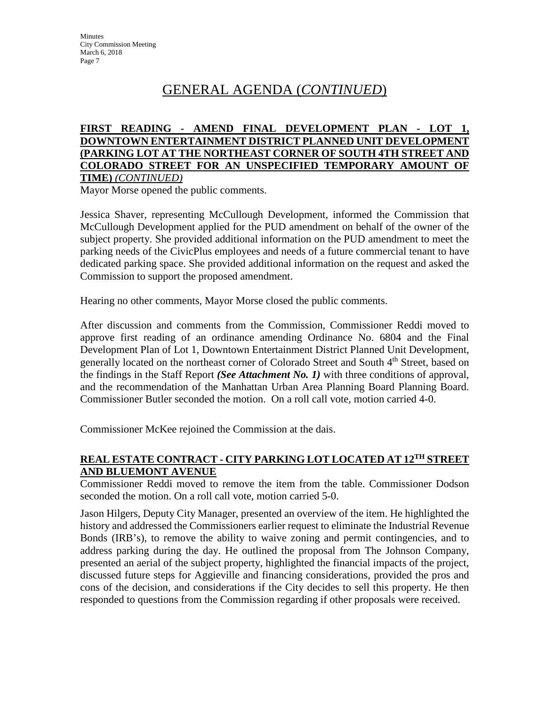# GENERAL AGENDA (*CONTINUED*)

#### **FIRST READING - AMEND FINAL DEVELOPMENT PLAN - LOT 1, DOWNTOWN ENTERTAINMENT DISTRICT PLANNED UNIT DEVELOPMENT (PARKING LOT AT THE NORTHEAST CORNER OF SOUTH 4TH STREET AND COLORADO STREET FOR AN UNSPECIFIED TEMPORARY AMOUNT OF TIME)** *(CONTINUED)*

Mayor Morse opened the public comments.

Jessica Shaver, representing McCullough Development, informed the Commission that McCullough Development applied for the PUD amendment on behalf of the owner of the subject property. She provided additional information on the PUD amendment to meet the parking needs of the CivicPlus employees and needs of a future commercial tenant to have dedicated parking space. She provided additional information on the request and asked the Commission to support the proposed amendment.

Hearing no other comments, Mayor Morse closed the public comments.

After discussion and comments from the Commission, Commissioner Reddi moved to approve first reading of an ordinance amending Ordinance No. 6804 and the Final Development Plan of Lot 1, Downtown Entertainment District Planned Unit Development, generally located on the northeast corner of Colorado Street and South 4<sup>th</sup> Street, based on the findings in the Staff Report *(See Attachment No. 1)* with three conditions of approval, and the recommendation of the Manhattan Urban Area Planning Board Planning Board. Commissioner Butler seconded the motion. On a roll call vote, motion carried 4-0.

Commissioner McKee rejoined the Commission at the dais.

## **REAL ESTATE CONTRACT - CITY PARKING LOT LOCATED AT 12TH STREET AND BLUEMONT AVENUE**

Commissioner Reddi moved to remove the item from the table. Commissioner Dodson seconded the motion. On a roll call vote, motion carried 5-0.

Jason Hilgers, Deputy City Manager, presented an overview of the item. He highlighted the history and addressed the Commissioners earlier request to eliminate the Industrial Revenue Bonds (IRB's), to remove the ability to waive zoning and permit contingencies, and to address parking during the day. He outlined the proposal from The Johnson Company, presented an aerial of the subject property, highlighted the financial impacts of the project, discussed future steps for Aggieville and financing considerations, provided the pros and cons of the decision, and considerations if the City decides to sell this property. He then responded to questions from the Commission regarding if other proposals were received.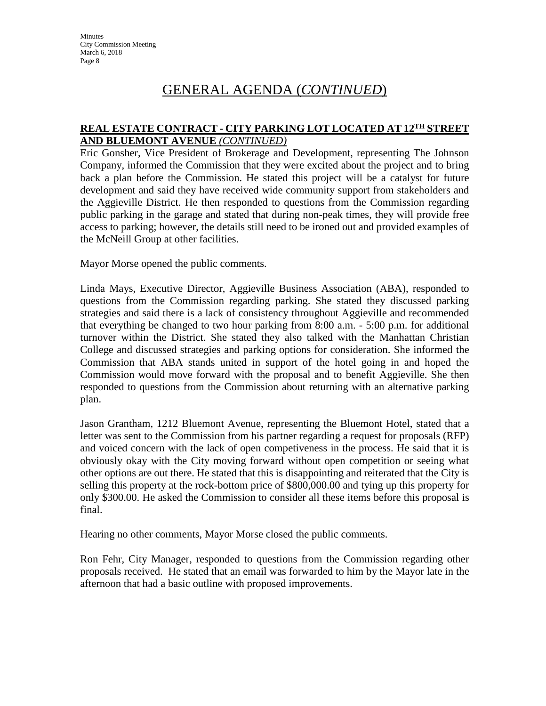# GENERAL AGENDA (*CONTINUED*)

### **REAL ESTATE CONTRACT - CITY PARKING LOT LOCATED AT 12TH STREET AND BLUEMONT AVENUE** *(CONTINUED)*

Eric Gonsher, Vice President of Brokerage and Development, representing The Johnson Company, informed the Commission that they were excited about the project and to bring back a plan before the Commission. He stated this project will be a catalyst for future development and said they have received wide community support from stakeholders and the Aggieville District. He then responded to questions from the Commission regarding public parking in the garage and stated that during non-peak times, they will provide free access to parking; however, the details still need to be ironed out and provided examples of the McNeill Group at other facilities.

Mayor Morse opened the public comments.

Linda Mays, Executive Director, Aggieville Business Association (ABA), responded to questions from the Commission regarding parking. She stated they discussed parking strategies and said there is a lack of consistency throughout Aggieville and recommended that everything be changed to two hour parking from 8:00 a.m. - 5:00 p.m. for additional turnover within the District. She stated they also talked with the Manhattan Christian College and discussed strategies and parking options for consideration. She informed the Commission that ABA stands united in support of the hotel going in and hoped the Commission would move forward with the proposal and to benefit Aggieville. She then responded to questions from the Commission about returning with an alternative parking plan.

Jason Grantham, 1212 Bluemont Avenue, representing the Bluemont Hotel, stated that a letter was sent to the Commission from his partner regarding a request for proposals (RFP) and voiced concern with the lack of open competiveness in the process. He said that it is obviously okay with the City moving forward without open competition or seeing what other options are out there. He stated that this is disappointing and reiterated that the City is selling this property at the rock-bottom price of \$800,000.00 and tying up this property for only \$300.00. He asked the Commission to consider all these items before this proposal is final.

Hearing no other comments, Mayor Morse closed the public comments.

Ron Fehr, City Manager, responded to questions from the Commission regarding other proposals received. He stated that an email was forwarded to him by the Mayor late in the afternoon that had a basic outline with proposed improvements.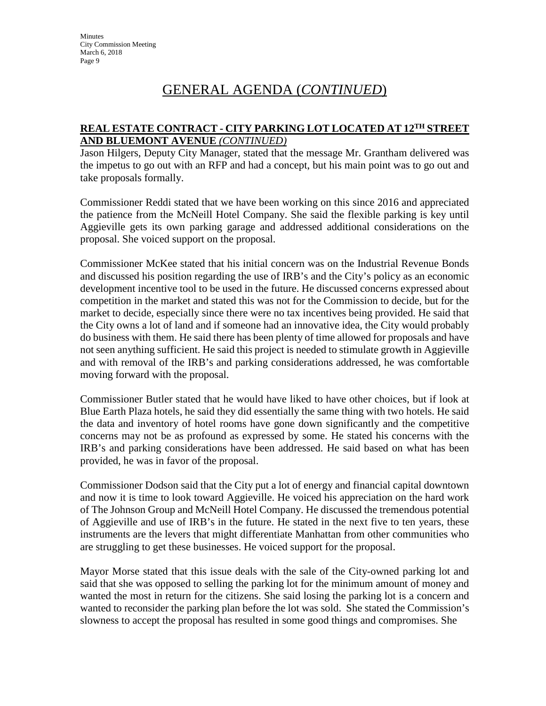# GENERAL AGENDA (*CONTINUED*)

## **REAL ESTATE CONTRACT - CITY PARKING LOT LOCATED AT 12TH STREET AND BLUEMONT AVENUE** *(CONTINUED)*

Jason Hilgers, Deputy City Manager, stated that the message Mr. Grantham delivered was the impetus to go out with an RFP and had a concept, but his main point was to go out and take proposals formally.

Commissioner Reddi stated that we have been working on this since 2016 and appreciated the patience from the McNeill Hotel Company. She said the flexible parking is key until Aggieville gets its own parking garage and addressed additional considerations on the proposal. She voiced support on the proposal.

Commissioner McKee stated that his initial concern was on the Industrial Revenue Bonds and discussed his position regarding the use of IRB's and the City's policy as an economic development incentive tool to be used in the future. He discussed concerns expressed about competition in the market and stated this was not for the Commission to decide, but for the market to decide, especially since there were no tax incentives being provided. He said that the City owns a lot of land and if someone had an innovative idea, the City would probably do business with them. He said there has been plenty of time allowed for proposals and have not seen anything sufficient. He said this project is needed to stimulate growth in Aggieville and with removal of the IRB's and parking considerations addressed, he was comfortable moving forward with the proposal.

Commissioner Butler stated that he would have liked to have other choices, but if look at Blue Earth Plaza hotels, he said they did essentially the same thing with two hotels. He said the data and inventory of hotel rooms have gone down significantly and the competitive concerns may not be as profound as expressed by some. He stated his concerns with the IRB's and parking considerations have been addressed. He said based on what has been provided, he was in favor of the proposal.

Commissioner Dodson said that the City put a lot of energy and financial capital downtown and now it is time to look toward Aggieville. He voiced his appreciation on the hard work of The Johnson Group and McNeill Hotel Company. He discussed the tremendous potential of Aggieville and use of IRB's in the future. He stated in the next five to ten years, these instruments are the levers that might differentiate Manhattan from other communities who are struggling to get these businesses. He voiced support for the proposal.

Mayor Morse stated that this issue deals with the sale of the City-owned parking lot and said that she was opposed to selling the parking lot for the minimum amount of money and wanted the most in return for the citizens. She said losing the parking lot is a concern and wanted to reconsider the parking plan before the lot was sold. She stated the Commission's slowness to accept the proposal has resulted in some good things and compromises. She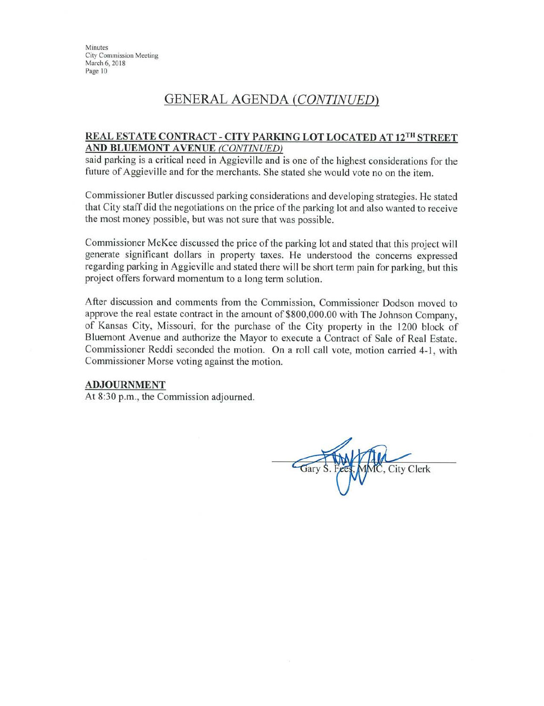## **GENERAL AGENDA (CONTINUED)**

#### **REAL ESTATE CONTRACT - CITY PARKING LOT LOCATED AT 12TH STREET** AND BLUEMONT AVENUE (CONTINUED)

said parking is a critical need in Aggieville and is one of the highest considerations for the future of Aggieville and for the merchants. She stated she would vote no on the item.

Commissioner Butler discussed parking considerations and developing strategies. He stated that City staff did the negotiations on the price of the parking lot and also wanted to receive the most money possible, but was not sure that was possible.

Commissioner McKee discussed the price of the parking lot and stated that this project will generate significant dollars in property taxes. He understood the concerns expressed regarding parking in Aggieville and stated there will be short term pain for parking, but this project offers forward momentum to a long term solution.

After discussion and comments from the Commission, Commissioner Dodson moved to approve the real estate contract in the amount of \$800,000.00 with The Johnson Company, of Kansas City, Missouri, for the purchase of the City property in the 1200 block of Bluemont Avenue and authorize the Mayor to execute a Contract of Sale of Real Estate. Commissioner Reddi seconded the motion. On a roll call vote, motion carried 4-1, with Commissioner Morse voting against the motion.

#### **ADJOURNMENT**

At 8:30 p.m., the Commission adjourned.

**City Clerk**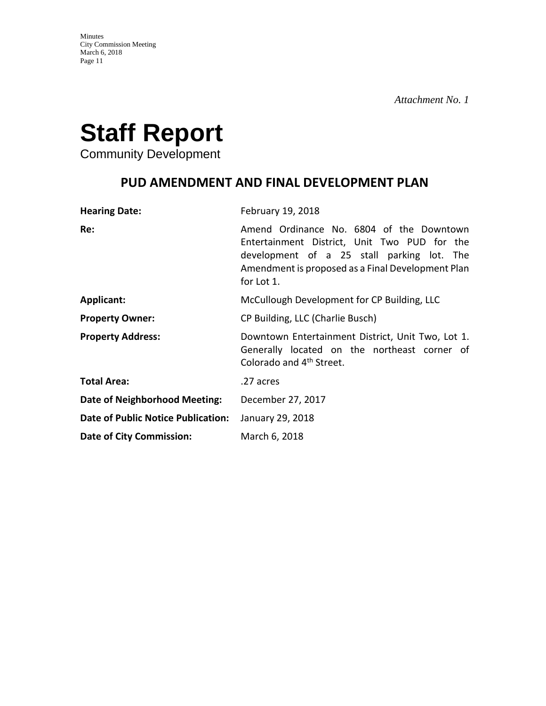

Community Development

# **PUD AMENDMENT AND FINAL DEVELOPMENT PLAN**

| <b>Hearing Date:</b>                      | February 19, 2018                                                                                                                                                                                         |
|-------------------------------------------|-----------------------------------------------------------------------------------------------------------------------------------------------------------------------------------------------------------|
| Re:                                       | Amend Ordinance No. 6804 of the Downtown<br>Entertainment District, Unit Two PUD for the<br>development of a 25 stall parking lot. The<br>Amendment is proposed as a Final Development Plan<br>for Lot 1. |
| <b>Applicant:</b>                         | McCullough Development for CP Building, LLC                                                                                                                                                               |
| <b>Property Owner:</b>                    | CP Building, LLC (Charlie Busch)                                                                                                                                                                          |
| <b>Property Address:</b>                  | Downtown Entertainment District, Unit Two, Lot 1.<br>Generally located on the northeast corner of<br>Colorado and 4 <sup>th</sup> Street.                                                                 |
| <b>Total Area:</b>                        | .27 acres                                                                                                                                                                                                 |
| Date of Neighborhood Meeting:             | December 27, 2017                                                                                                                                                                                         |
| <b>Date of Public Notice Publication:</b> | January 29, 2018                                                                                                                                                                                          |
| <b>Date of City Commission:</b>           | March 6, 2018                                                                                                                                                                                             |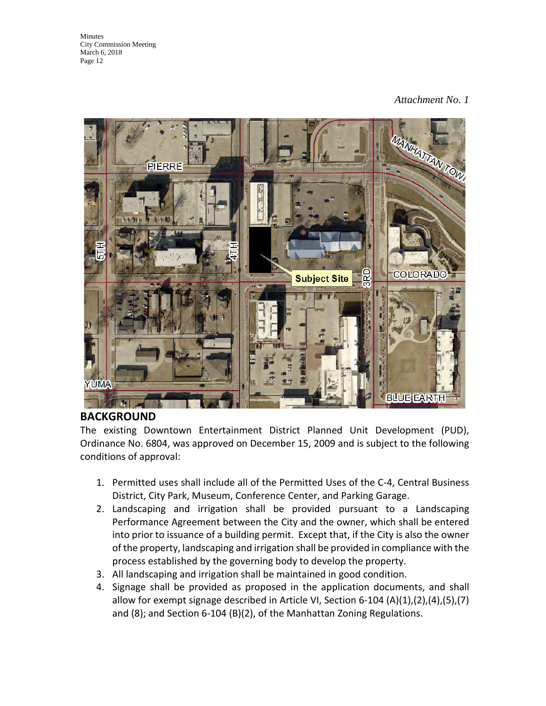## *Attachment No. 1*



## **BACKGROUND**

The existing Downtown Entertainment District Planned Unit Development (PUD), Ordinance No. 6804, was approved on December 15, 2009 and is subject to the following conditions of approval:

- 1. Permitted uses shall include all of the Permitted Uses of the C-4, Central Business District, City Park, Museum, Conference Center, and Parking Garage.
- 2. Landscaping and irrigation shall be provided pursuant to a Landscaping Performance Agreement between the City and the owner, which shall be entered into prior to issuance of a building permit. Except that, if the City is also the owner of the property, landscaping and irrigation shall be provided in compliance with the process established by the governing body to develop the property.
- 3. All landscaping and irrigation shall be maintained in good condition.
- 4. Signage shall be provided as proposed in the application documents, and shall allow for exempt signage described in Article VI, Section 6-104 (A)(1),(2),(4),(5),(7) and (8); and Section 6-104 (B)(2), of the Manhattan Zoning Regulations.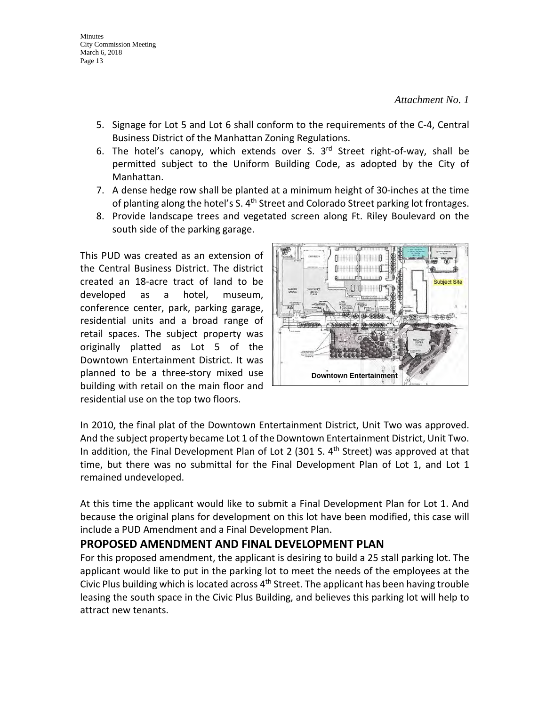- 5. Signage for Lot 5 and Lot 6 shall conform to the requirements of the C-4, Central Business District of the Manhattan Zoning Regulations.
- 6. The hotel's canopy, which extends over S.  $3<sup>rd</sup>$  Street right-of-way, shall be permitted subject to the Uniform Building Code, as adopted by the City of Manhattan.
- 7. A dense hedge row shall be planted at a minimum height of 30-inches at the time of planting along the hotel's S. 4<sup>th</sup> Street and Colorado Street parking lot frontages.
- 8. Provide landscape trees and vegetated screen along Ft. Riley Boulevard on the south side of the parking garage.

This PUD was created as an extension of the Central Business District. The district created an 18-acre tract of land to be developed as a hotel, museum, conference center, park, parking garage, residential units and a broad range of retail spaces. The subject property was originally platted as Lot 5 of the Downtown Entertainment District. It was planned to be a three-story mixed use building with retail on the main floor and residential use on the top two floors.



In 2010, the final plat of the Downtown Entertainment District, Unit Two was approved. And the subject property became Lot 1 of the Downtown Entertainment District, Unit Two. In addition, the Final Development Plan of Lot 2 (301 S.  $4<sup>th</sup>$  Street) was approved at that time, but there was no submittal for the Final Development Plan of Lot 1, and Lot 1 remained undeveloped.

At this time the applicant would like to submit a Final Development Plan for Lot 1. And because the original plans for development on this lot have been modified, this case will include a PUD Amendment and a Final Development Plan.

## **PROPOSED AMENDMENT AND FINAL DEVELOPMENT PLAN**

For this proposed amendment, the applicant is desiring to build a 25 stall parking lot. The applicant would like to put in the parking lot to meet the needs of the employees at the Civic Plus building which is located across  $4<sup>th</sup>$  Street. The applicant has been having trouble leasing the south space in the Civic Plus Building, and believes this parking lot will help to attract new tenants.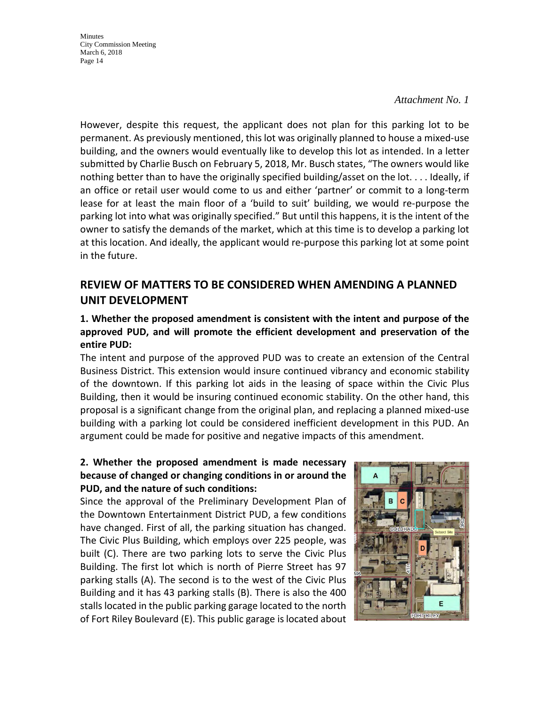#### *Attachment No. 1*

However, despite this request, the applicant does not plan for this parking lot to be permanent. As previously mentioned, this lot was originally planned to house a mixed-use building, and the owners would eventually like to develop this lot as intended. In a letter submitted by Charlie Busch on February 5, 2018, Mr. Busch states, "The owners would like nothing better than to have the originally specified building/asset on the lot. . . . Ideally, if an office or retail user would come to us and either 'partner' or commit to a long-term lease for at least the main floor of a 'build to suit' building, we would re-purpose the parking lot into what was originally specified." But until this happens, it is the intent of the owner to satisfy the demands of the market, which at this time is to develop a parking lot at this location. And ideally, the applicant would re-purpose this parking lot at some point in the future.

## **REVIEW OF MATTERS TO BE CONSIDERED WHEN AMENDING A PLANNED UNIT DEVELOPMENT**

## **1. Whether the proposed amendment is consistent with the intent and purpose of the approved PUD, and will promote the efficient development and preservation of the entire PUD:**

The intent and purpose of the approved PUD was to create an extension of the Central Business District. This extension would insure continued vibrancy and economic stability of the downtown. If this parking lot aids in the leasing of space within the Civic Plus Building, then it would be insuring continued economic stability. On the other hand, this proposal is a significant change from the original plan, and replacing a planned mixed-use building with a parking lot could be considered inefficient development in this PUD. An argument could be made for positive and negative impacts of this amendment.

## **2. Whether the proposed amendment is made necessary because of changed or changing conditions in or around the PUD, and the nature of such conditions:**

Since the approval of the Preliminary Development Plan of the Downtown Entertainment District PUD, a few conditions have changed. First of all, the parking situation has changed. The Civic Plus Building, which employs over 225 people, was built (C). There are two parking lots to serve the Civic Plus Building. The first lot which is north of Pierre Street has 97 parking stalls (A). The second is to the west of the Civic Plus Building and it has 43 parking stalls (B). There is also the 400 stalls located in the public parking garage located to the north of Fort Riley Boulevard (E). This public garage is located about

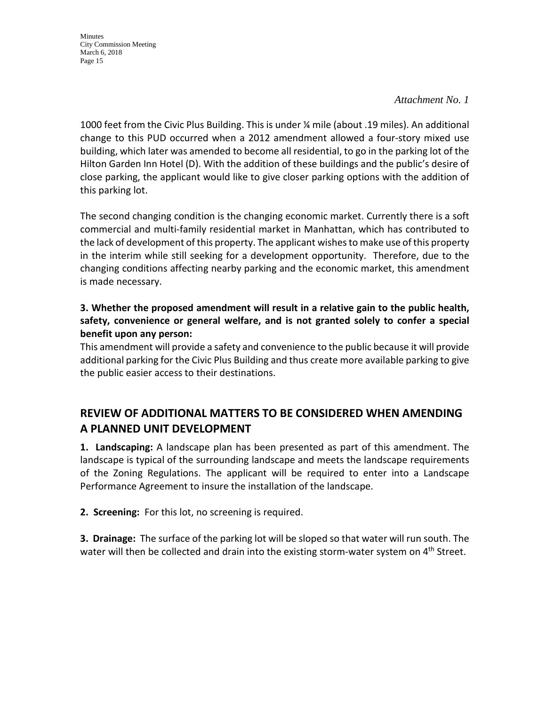### *Attachment No. 1*

1000 feet from the Civic Plus Building. This is under ¼ mile (about .19 miles). An additional change to this PUD occurred when a 2012 amendment allowed a four-story mixed use building, which later was amended to become all residential, to go in the parking lot of the Hilton Garden Inn Hotel (D). With the addition of these buildings and the public's desire of close parking, the applicant would like to give closer parking options with the addition of this parking lot.

The second changing condition is the changing economic market. Currently there is a soft commercial and multi-family residential market in Manhattan, which has contributed to the lack of development of this property. The applicant wishes to make use of this property in the interim while still seeking for a development opportunity. Therefore, due to the changing conditions affecting nearby parking and the economic market, this amendment is made necessary.

## **3. Whether the proposed amendment will result in a relative gain to the public health, safety, convenience or general welfare, and is not granted solely to confer a special benefit upon any person:**

This amendment will provide a safety and convenience to the public because it will provide additional parking for the Civic Plus Building and thus create more available parking to give the public easier access to their destinations.

## **REVIEW OF ADDITIONAL MATTERS TO BE CONSIDERED WHEN AMENDING A PLANNED UNIT DEVELOPMENT**

**1. Landscaping:** A landscape plan has been presented as part of this amendment. The landscape is typical of the surrounding landscape and meets the landscape requirements of the Zoning Regulations. The applicant will be required to enter into a Landscape Performance Agreement to insure the installation of the landscape.

**2. Screening:** For this lot, no screening is required.

**3. Drainage:** The surface of the parking lot will be sloped so that water will run south. The water will then be collected and drain into the existing storm-water system on  $4<sup>th</sup>$  Street.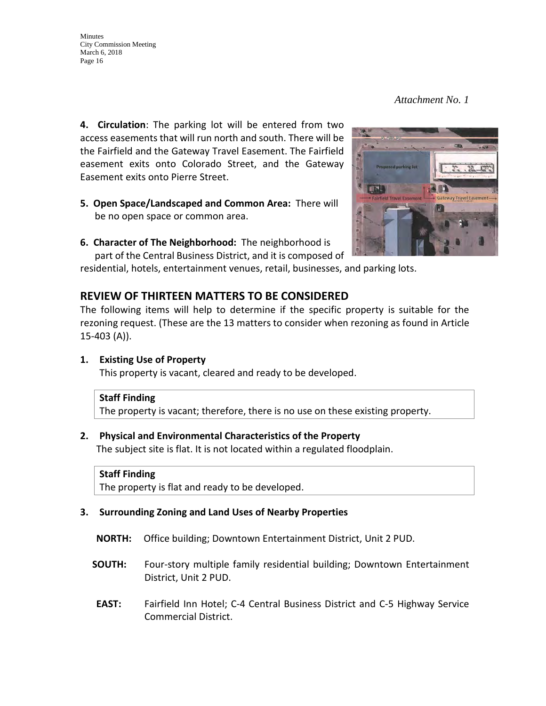*Attachment No. 1* 

**4. Circulation**: The parking lot will be entered from two access easements that will run north and south. There will be the Fairfield and the Gateway Travel Easement. The Fairfield easement exits onto Colorado Street, and the Gateway Easement exits onto Pierre Street.

- **5. Open Space/Landscaped and Common Area:** There will be no open space or common area.
- **6. Character of The Neighborhood:** The neighborhood is part of the Central Business District, and it is composed of

residential, hotels, entertainment venues, retail, businesses, and parking lots.

## **REVIEW OF THIRTEEN MATTERS TO BE CONSIDERED**

The following items will help to determine if the specific property is suitable for the rezoning request. (These are the 13 matters to consider when rezoning as found in Article 15-403 (A)).

#### **1. Existing Use of Property**

This property is vacant, cleared and ready to be developed.

#### **Staff Finding**

The property is vacant; therefore, there is no use on these existing property.

#### **2. Physical and Environmental Characteristics of the Property**

The subject site is flat. It is not located within a regulated floodplain.

#### **Staff Finding**

The property is flat and ready to be developed.

#### **3. Surrounding Zoning and Land Uses of Nearby Properties**

- **NORTH:** Office building; Downtown Entertainment District, Unit 2 PUD.
- **SOUTH:** Four-story multiple family residential building; Downtown Entertainment District, Unit 2 PUD.
- **EAST:** Fairfield Inn Hotel; C-4 Central Business District and C-5 Highway Service Commercial District.

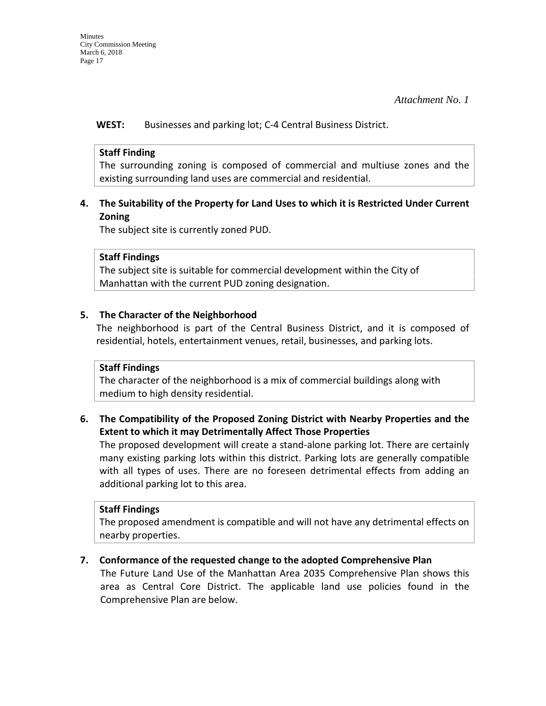**WEST:** Businesses and parking lot; C-4 Central Business District.

### **Staff Finding**

The surrounding zoning is composed of commercial and multiuse zones and the existing surrounding land uses are commercial and residential.

## **4. The Suitability of the Property for Land Uses to which it is Restricted Under Current Zoning**

The subject site is currently zoned PUD.

### **Staff Findings**

The subject site is suitable for commercial development within the City of Manhattan with the current PUD zoning designation.

## **5. The Character of the Neighborhood**

The neighborhood is part of the Central Business District, and it is composed of residential, hotels, entertainment venues, retail, businesses, and parking lots.

## **Staff Findings**

The character of the neighborhood is a mix of commercial buildings along with medium to high density residential.

## **6. The Compatibility of the Proposed Zoning District with Nearby Properties and the Extent to which it may Detrimentally Affect Those Properties**

The proposed development will create a stand-alone parking lot. There are certainly many existing parking lots within this district. Parking lots are generally compatible with all types of uses. There are no foreseen detrimental effects from adding an additional parking lot to this area.

#### **Staff Findings**

The proposed amendment is compatible and will not have any detrimental effects on nearby properties.

## **7. Conformance of the requested change to the adopted Comprehensive Plan**

The Future Land Use of the Manhattan Area 2035 Comprehensive Plan shows this area as Central Core District. The applicable land use policies found in the Comprehensive Plan are below.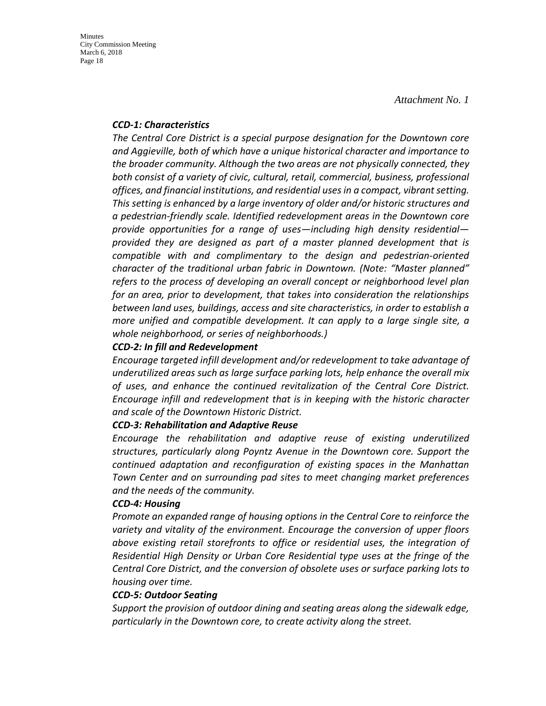#### *CCD-1: Characteristics*

*The Central Core District is a special purpose designation for the Downtown core and Aggieville, both of which have a unique historical character and importance to the broader community. Although the two areas are not physically connected, they both consist of a variety of civic, cultural, retail, commercial, business, professional offices, and financial institutions, and residential uses in a compact, vibrant setting. This setting is enhanced by a large inventory of older and/or historic structures and a pedestrian-friendly scale. Identified redevelopment areas in the Downtown core provide opportunities for a range of uses—including high density residential provided they are designed as part of a master planned development that is compatible with and complimentary to the design and pedestrian-oriented character of the traditional urban fabric in Downtown. (Note: "Master planned" refers to the process of developing an overall concept or neighborhood level plan for an area, prior to development, that takes into consideration the relationships between land uses, buildings, access and site characteristics, in order to establish a more unified and compatible development. It can apply to a large single site, a whole neighborhood, or series of neighborhoods.)* 

### *CCD-2: In fill and Redevelopment*

*Encourage targeted infill development and/or redevelopment to take advantage of underutilized areas such as large surface parking lots, help enhance the overall mix of uses, and enhance the continued revitalization of the Central Core District. Encourage infill and redevelopment that is in keeping with the historic character and scale of the Downtown Historic District.* 

#### *CCD-3: Rehabilitation and Adaptive Reuse*

*Encourage the rehabilitation and adaptive reuse of existing underutilized structures, particularly along Poyntz Avenue in the Downtown core. Support the continued adaptation and reconfiguration of existing spaces in the Manhattan Town Center and on surrounding pad sites to meet changing market preferences and the needs of the community.* 

#### *CCD-4: Housing*

*Promote an expanded range of housing options in the Central Core to reinforce the variety and vitality of the environment. Encourage the conversion of upper floors above existing retail storefronts to office or residential uses, the integration of Residential High Density or Urban Core Residential type uses at the fringe of the Central Core District, and the conversion of obsolete uses or surface parking lots to housing over time.* 

#### *CCD-5: Outdoor Seating*

*Support the provision of outdoor dining and seating areas along the sidewalk edge, particularly in the Downtown core, to create activity along the street.*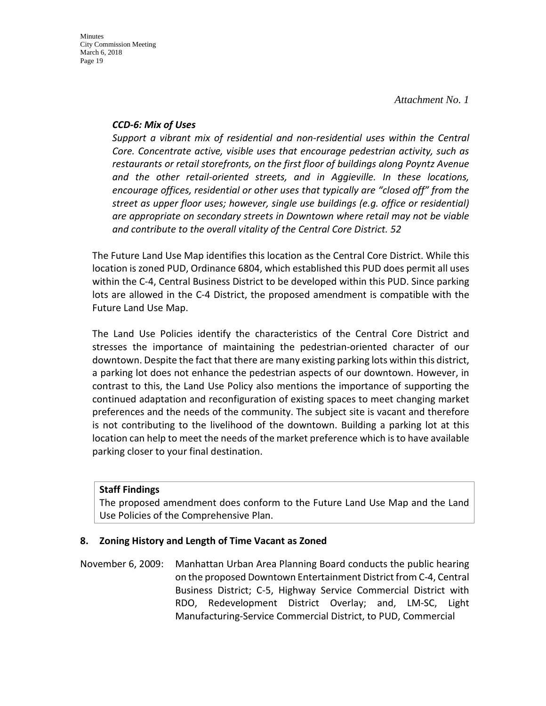#### *CCD-6: Mix of Uses*

*Support a vibrant mix of residential and non-residential uses within the Central Core. Concentrate active, visible uses that encourage pedestrian activity, such as restaurants or retail storefronts, on the first floor of buildings along Poyntz Avenue and the other retail-oriented streets, and in Aggieville. In these locations, encourage offices, residential or other uses that typically are "closed off" from the street as upper floor uses; however, single use buildings (e.g. office or residential) are appropriate on secondary streets in Downtown where retail may not be viable and contribute to the overall vitality of the Central Core District. 52*

The Future Land Use Map identifies this location as the Central Core District. While this location is zoned PUD, Ordinance 6804, which established this PUD does permit all uses within the C-4, Central Business District to be developed within this PUD. Since parking lots are allowed in the C-4 District, the proposed amendment is compatible with the Future Land Use Map.

The Land Use Policies identify the characteristics of the Central Core District and stresses the importance of maintaining the pedestrian-oriented character of our downtown. Despite the fact that there are many existing parking lots within this district, a parking lot does not enhance the pedestrian aspects of our downtown. However, in contrast to this, the Land Use Policy also mentions the importance of supporting the continued adaptation and reconfiguration of existing spaces to meet changing market preferences and the needs of the community. The subject site is vacant and therefore is not contributing to the livelihood of the downtown. Building a parking lot at this location can help to meet the needs of the market preference which is to have available parking closer to your final destination.

## **Staff Findings**

The proposed amendment does conform to the Future Land Use Map and the Land Use Policies of the Comprehensive Plan.

## **8. Zoning History and Length of Time Vacant as Zoned**

November 6, 2009: Manhattan Urban Area Planning Board conducts the public hearing on the proposed Downtown Entertainment District from C-4, Central Business District; C-5, Highway Service Commercial District with RDO, Redevelopment District Overlay; and, LM-SC, Light Manufacturing-Service Commercial District, to PUD, Commercial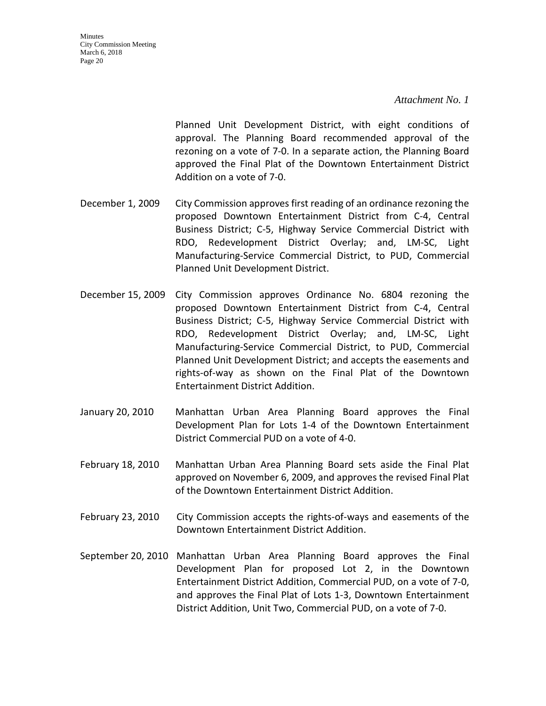Planned Unit Development District, with eight conditions of approval. The Planning Board recommended approval of the rezoning on a vote of 7-0. In a separate action, the Planning Board approved the Final Plat of the Downtown Entertainment District Addition on a vote of 7-0.

- December 1, 2009 City Commission approves first reading of an ordinance rezoning the proposed Downtown Entertainment District from C-4, Central Business District; C-5, Highway Service Commercial District with RDO, Redevelopment District Overlay; and, LM-SC, Light Manufacturing-Service Commercial District, to PUD, Commercial Planned Unit Development District.
- December 15, 2009 City Commission approves Ordinance No. 6804 rezoning the proposed Downtown Entertainment District from C-4, Central Business District; C-5, Highway Service Commercial District with RDO, Redevelopment District Overlay; and, LM-SC, Light Manufacturing-Service Commercial District, to PUD, Commercial Planned Unit Development District; and accepts the easements and rights-of-way as shown on the Final Plat of the Downtown Entertainment District Addition.
- January 20, 2010 Manhattan Urban Area Planning Board approves the Final Development Plan for Lots 1-4 of the Downtown Entertainment District Commercial PUD on a vote of 4-0.
- February 18, 2010 Manhattan Urban Area Planning Board sets aside the Final Plat approved on November 6, 2009, and approves the revised Final Plat of the Downtown Entertainment District Addition.
- February 23, 2010 City Commission accepts the rights-of-ways and easements of the Downtown Entertainment District Addition.
- September 20, 2010 Manhattan Urban Area Planning Board approves the Final Development Plan for proposed Lot 2, in the Downtown Entertainment District Addition, Commercial PUD, on a vote of 7-0, and approves the Final Plat of Lots 1-3, Downtown Entertainment District Addition, Unit Two, Commercial PUD, on a vote of 7-0.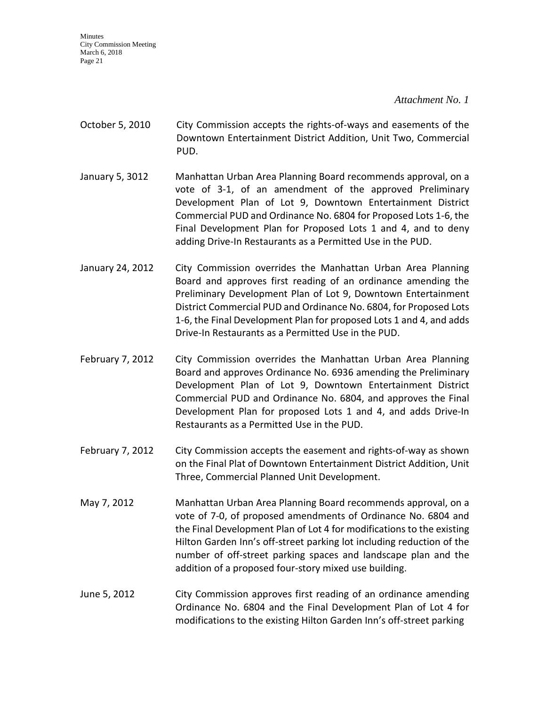*Attachment No. 1* 

- October 5, 2010 City Commission accepts the rights-of-ways and easements of the Downtown Entertainment District Addition, Unit Two, Commercial PUD.
- January 5, 3012 Manhattan Urban Area Planning Board recommends approval, on a vote of 3-1, of an amendment of the approved Preliminary Development Plan of Lot 9, Downtown Entertainment District Commercial PUD and Ordinance No. 6804 for Proposed Lots 1-6, the Final Development Plan for Proposed Lots 1 and 4, and to deny adding Drive-In Restaurants as a Permitted Use in the PUD.
- January 24, 2012 City Commission overrides the Manhattan Urban Area Planning Board and approves first reading of an ordinance amending the Preliminary Development Plan of Lot 9, Downtown Entertainment District Commercial PUD and Ordinance No. 6804, for Proposed Lots 1-6, the Final Development Plan for proposed Lots 1 and 4, and adds Drive-In Restaurants as a Permitted Use in the PUD.
- February 7, 2012 City Commission overrides the Manhattan Urban Area Planning Board and approves Ordinance No. 6936 amending the Preliminary Development Plan of Lot 9, Downtown Entertainment District Commercial PUD and Ordinance No. 6804, and approves the Final Development Plan for proposed Lots 1 and 4, and adds Drive-In Restaurants as a Permitted Use in the PUD.
- February 7, 2012 City Commission accepts the easement and rights-of-way as shown on the Final Plat of Downtown Entertainment District Addition, Unit Three, Commercial Planned Unit Development.
- May 7, 2012 Manhattan Urban Area Planning Board recommends approval, on a vote of 7-0, of proposed amendments of Ordinance No. 6804 and the Final Development Plan of Lot 4 for modifications to the existing Hilton Garden Inn's off-street parking lot including reduction of the number of off-street parking spaces and landscape plan and the addition of a proposed four-story mixed use building.
- June 5, 2012 City Commission approves first reading of an ordinance amending Ordinance No. 6804 and the Final Development Plan of Lot 4 for modifications to the existing Hilton Garden Inn's off-street parking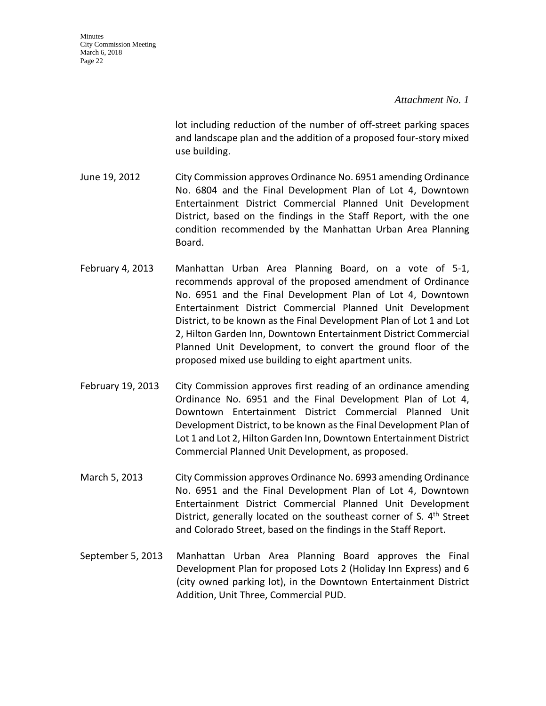#### *Attachment No. 1*

lot including reduction of the number of off-street parking spaces and landscape plan and the addition of a proposed four-story mixed use building.

- June 19, 2012 City Commission approves Ordinance No. 6951 amending Ordinance No. 6804 and the Final Development Plan of Lot 4, Downtown Entertainment District Commercial Planned Unit Development District, based on the findings in the Staff Report, with the one condition recommended by the Manhattan Urban Area Planning Board.
- February 4, 2013 Manhattan Urban Area Planning Board, on a vote of 5-1, recommends approval of the proposed amendment of Ordinance No. 6951 and the Final Development Plan of Lot 4, Downtown Entertainment District Commercial Planned Unit Development District, to be known as the Final Development Plan of Lot 1 and Lot 2, Hilton Garden Inn, Downtown Entertainment District Commercial Planned Unit Development, to convert the ground floor of the proposed mixed use building to eight apartment units.
- February 19, 2013 City Commission approves first reading of an ordinance amending Ordinance No. 6951 and the Final Development Plan of Lot 4, Downtown Entertainment District Commercial Planned Unit Development District, to be known as the Final Development Plan of Lot 1 and Lot 2, Hilton Garden Inn, Downtown Entertainment District Commercial Planned Unit Development, as proposed.
- March 5, 2013 City Commission approves Ordinance No. 6993 amending Ordinance No. 6951 and the Final Development Plan of Lot 4, Downtown Entertainment District Commercial Planned Unit Development District, generally located on the southeast corner of S.  $4<sup>th</sup>$  Street and Colorado Street, based on the findings in the Staff Report.
- September 5, 2013 Manhattan Urban Area Planning Board approves the Final Development Plan for proposed Lots 2 (Holiday Inn Express) and 6 (city owned parking lot), in the Downtown Entertainment District Addition, Unit Three, Commercial PUD.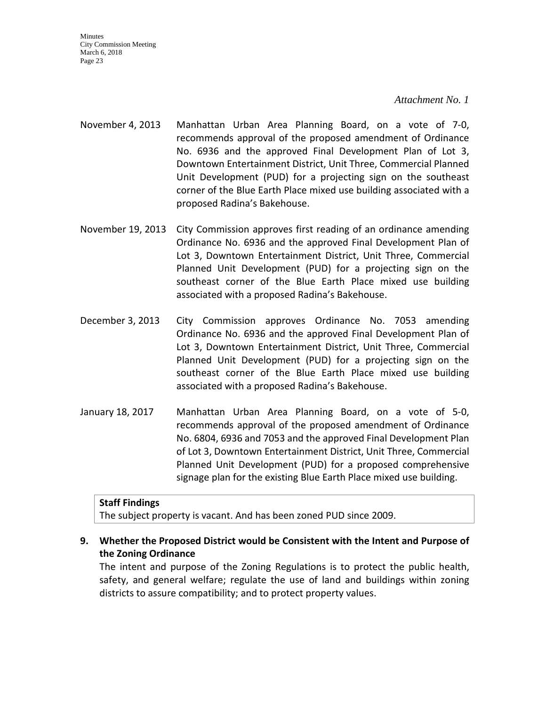#### *Attachment No. 1*

- November 4, 2013 Manhattan Urban Area Planning Board, on a vote of 7-0, recommends approval of the proposed amendment of Ordinance No. 6936 and the approved Final Development Plan of Lot 3, Downtown Entertainment District, Unit Three, Commercial Planned Unit Development (PUD) for a projecting sign on the southeast corner of the Blue Earth Place mixed use building associated with a proposed Radina's Bakehouse.
- November 19, 2013 City Commission approves first reading of an ordinance amending Ordinance No. 6936 and the approved Final Development Plan of Lot 3, Downtown Entertainment District, Unit Three, Commercial Planned Unit Development (PUD) for a projecting sign on the southeast corner of the Blue Earth Place mixed use building associated with a proposed Radina's Bakehouse.
- December 3, 2013 City Commission approves Ordinance No. 7053 amending Ordinance No. 6936 and the approved Final Development Plan of Lot 3, Downtown Entertainment District, Unit Three, Commercial Planned Unit Development (PUD) for a projecting sign on the southeast corner of the Blue Earth Place mixed use building associated with a proposed Radina's Bakehouse.
- January 18, 2017 Manhattan Urban Area Planning Board, on a vote of 5-0, recommends approval of the proposed amendment of Ordinance No. 6804, 6936 and 7053 and the approved Final Development Plan of Lot 3, Downtown Entertainment District, Unit Three, Commercial Planned Unit Development (PUD) for a proposed comprehensive signage plan for the existing Blue Earth Place mixed use building.

#### **Staff Findings**

The subject property is vacant. And has been zoned PUD since 2009.

## **9. Whether the Proposed District would be Consistent with the Intent and Purpose of the Zoning Ordinance**

The intent and purpose of the Zoning Regulations is to protect the public health, safety, and general welfare; regulate the use of land and buildings within zoning districts to assure compatibility; and to protect property values.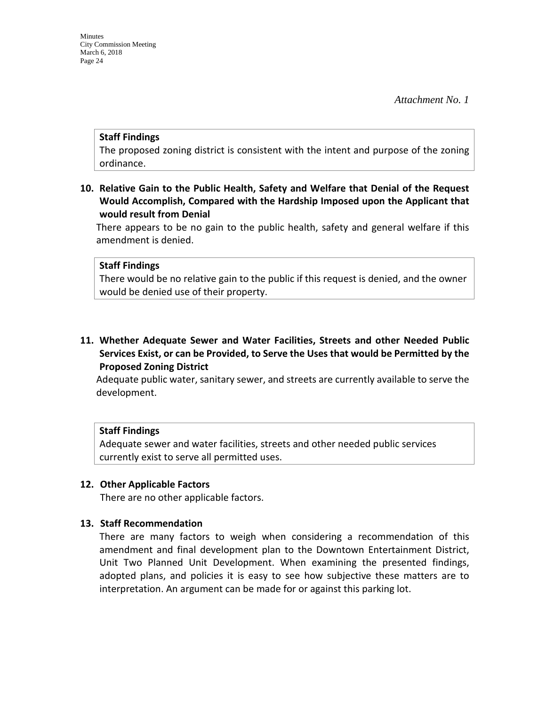#### **Staff Findings**

The proposed zoning district is consistent with the intent and purpose of the zoning ordinance.

**10. Relative Gain to the Public Health, Safety and Welfare that Denial of the Request Would Accomplish, Compared with the Hardship Imposed upon the Applicant that would result from Denial**

There appears to be no gain to the public health, safety and general welfare if this amendment is denied.

#### **Staff Findings**

There would be no relative gain to the public if this request is denied, and the owner would be denied use of their property.

**11. Whether Adequate Sewer and Water Facilities, Streets and other Needed Public Services Exist, or can be Provided, to Serve the Uses that would be Permitted by the Proposed Zoning District**

Adequate public water, sanitary sewer, and streets are currently available to serve the development.

#### **Staff Findings**

Adequate sewer and water facilities, streets and other needed public services currently exist to serve all permitted uses.

#### **12. Other Applicable Factors**

There are no other applicable factors.

#### **13. Staff Recommendation**

There are many factors to weigh when considering a recommendation of this amendment and final development plan to the Downtown Entertainment District, Unit Two Planned Unit Development. When examining the presented findings, adopted plans, and policies it is easy to see how subjective these matters are to interpretation. An argument can be made for or against this parking lot.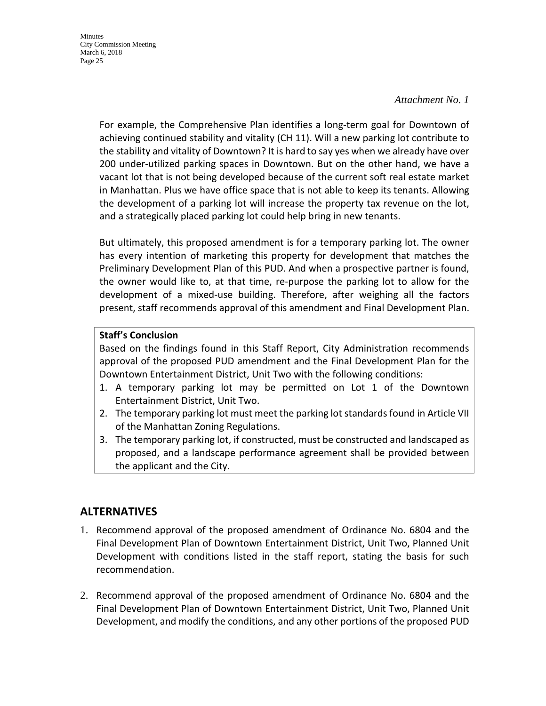#### *Attachment No. 1*

For example, the Comprehensive Plan identifies a long-term goal for Downtown of achieving continued stability and vitality (CH 11). Will a new parking lot contribute to the stability and vitality of Downtown? It is hard to say yes when we already have over 200 under-utilized parking spaces in Downtown. But on the other hand, we have a vacant lot that is not being developed because of the current soft real estate market in Manhattan. Plus we have office space that is not able to keep its tenants. Allowing the development of a parking lot will increase the property tax revenue on the lot, and a strategically placed parking lot could help bring in new tenants.

But ultimately, this proposed amendment is for a temporary parking lot. The owner has every intention of marketing this property for development that matches the Preliminary Development Plan of this PUD. And when a prospective partner is found, the owner would like to, at that time, re-purpose the parking lot to allow for the development of a mixed-use building. Therefore, after weighing all the factors present, staff recommends approval of this amendment and Final Development Plan.

### **Staff's Conclusion**

Based on the findings found in this Staff Report, City Administration recommends approval of the proposed PUD amendment and the Final Development Plan for the Downtown Entertainment District, Unit Two with the following conditions:

- 1. A temporary parking lot may be permitted on Lot 1 of the Downtown Entertainment District, Unit Two.
- 2. The temporary parking lot must meet the parking lot standards found in Article VII of the Manhattan Zoning Regulations.
- 3. The temporary parking lot, if constructed, must be constructed and landscaped as proposed, and a landscape performance agreement shall be provided between the applicant and the City.

## **ALTERNATIVES**

- 1. Recommend approval of the proposed amendment of Ordinance No. 6804 and the Final Development Plan of Downtown Entertainment District, Unit Two, Planned Unit Development with conditions listed in the staff report, stating the basis for such recommendation.
- 2. Recommend approval of the proposed amendment of Ordinance No. 6804 and the Final Development Plan of Downtown Entertainment District, Unit Two, Planned Unit Development, and modify the conditions, and any other portions of the proposed PUD